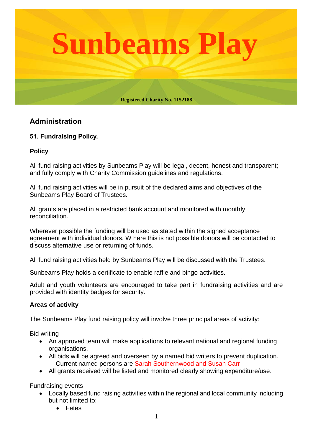

# **Administration**

# **51. Fundraising Policy.**

### **Policy**

All fund raising activities by Sunbeams Play will be legal, decent, honest and transparent; and fully comply with Charity Commission guidelines and regulations.

All fund raising activities will be in pursuit of the declared aims and objectives of the Sunbeams Play Board of Trustees.

All grants are placed in a restricted bank account and monitored with monthly reconciliation.

Wherever possible the funding will be used as stated within the signed acceptance agreement with individual donors. W here this is not possible donors will be contacted to discuss alternative use or returning of funds.

All fund raising activities held by Sunbeams Play will be discussed with the Trustees.

Sunbeams Play holds a certificate to enable raffle and bingo activities.

Adult and youth volunteers are encouraged to take part in fundraising activities and are provided with identity badges for security.

### **Areas of activity**

The Sunbeams Play fund raising policy will involve three principal areas of activity:

Bid writing

- An approved team will make applications to relevant national and regional funding organisations.
- All bids will be agreed and overseen by a named bid writers to prevent duplication. Current named persons are Sarah Southernwood and Susan Carr
- All grants received will be listed and monitored clearly showing expenditure/use.

Fundraising events

- Locally based fund raising activities within the regional and local community including but not limited to:
	- Fetes